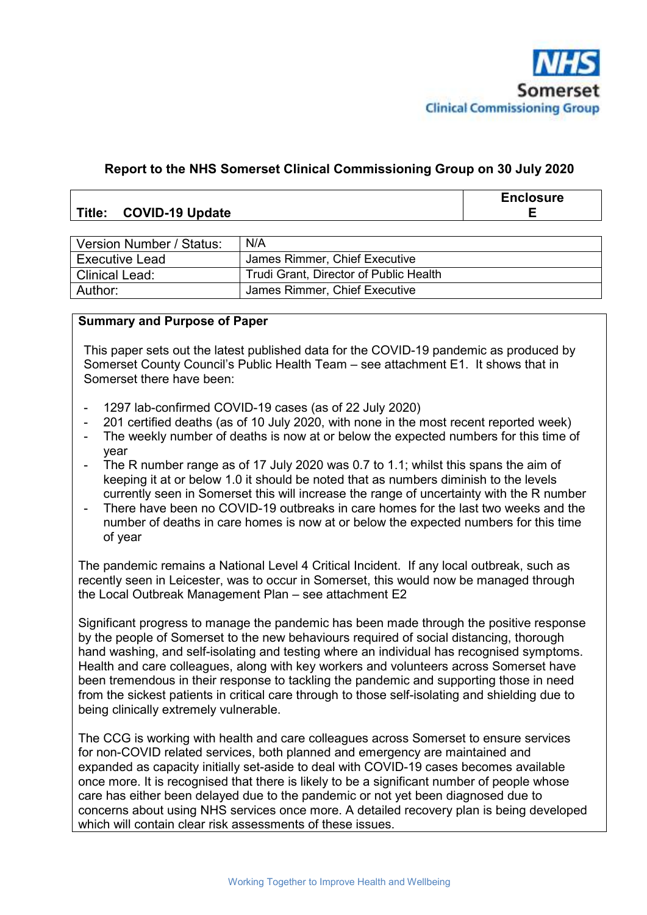

## **Report to the NHS Somerset Clinical Commissioning Group on 30 July 2020**

## **Title: COVID-19 Update**

**Enclosure E** 

| Version Number / Status: | N/A                                    |
|--------------------------|----------------------------------------|
| <b>Executive Lead</b>    | James Rimmer, Chief Executive          |
| <b>Clinical Lead:</b>    | Trudi Grant, Director of Public Health |
| Author:                  | James Rimmer, Chief Executive          |

## **Summary and Purpose of Paper**

This paper sets out the latest published data for the COVID-19 pandemic as produced by Somerset County Council's Public Health Team – see attachment E1. It shows that in Somerset there have been:

- 1297 lab-confirmed COVID-19 cases (as of 22 July 2020)
- 201 certified deaths (as of 10 July 2020, with none in the most recent reported week)
- The weekly number of deaths is now at or below the expected numbers for this time of year
- The R number range as of 17 July 2020 was 0.7 to 1.1; whilst this spans the aim of keeping it at or below 1.0 it should be noted that as numbers diminish to the levels currently seen in Somerset this will increase the range of uncertainty with the R number
- There have been no COVID-19 outbreaks in care homes for the last two weeks and the number of deaths in care homes is now at or below the expected numbers for this time of year

The pandemic remains a National Level 4 Critical Incident. If any local outbreak, such as recently seen in Leicester, was to occur in Somerset, this would now be managed through the Local Outbreak Management Plan – see attachment E2

Significant progress to manage the pandemic has been made through the positive response by the people of Somerset to the new behaviours required of social distancing, thorough hand washing, and self-isolating and testing where an individual has recognised symptoms. Health and care colleagues, along with key workers and volunteers across Somerset have been tremendous in their response to tackling the pandemic and supporting those in need from the sickest patients in critical care through to those self-isolating and shielding due to being clinically extremely vulnerable.

The CCG is working with health and care colleagues across Somerset to ensure services for non-COVID related services, both planned and emergency are maintained and expanded as capacity initially set-aside to deal with COVID-19 cases becomes available once more. It is recognised that there is likely to be a significant number of people whose care has either been delayed due to the pandemic or not yet been diagnosed due to concerns about using NHS services once more. A detailed recovery plan is being developed which will contain clear risk assessments of these issues.